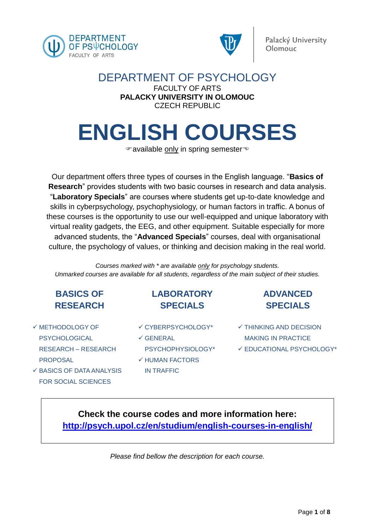



### DEPARTMENT OF PSYCHOLOGY FACULTY OF ARTS **PALACKY UNIVERSITY IN OLOMOUC** CZECH REPUBLIC

# **ENGLISH COURSES**

<sup>∉</sup> available only in spring semester<sup>→</sup>

Our department offers three types of courses in the English language. "**Basics of Research**" provides students with two basic courses in research and data analysis. "**Laboratory Specials**" are courses where students get up-to-date knowledge and skills in cyberpsychology, psychophysiology, or human factors in traffic. A bonus of these courses is the opportunity to use our well-equipped and unique laboratory with virtual reality gadgets, the EEG, and other equipment. Suitable especially for more advanced students, the "**Advanced Specials**" courses, deal with organisational culture, the psychology of values, or thinking and decision making in the real world.

*Courses marked with \* are available only for psychology students. Unmarked courses are available for all students, regardless of the main subject of their studies.*

## **BASICS OF RESEARCH**

- $\checkmark$  METHODOLOGY OF PSYCHOLOGICAL RESEARCH – RESEARCH PROPOSAL
- $\checkmark$  BASICS OF DATA ANALYSIS FOR SOCIAL SCIENCES
- **LABORATORY SPECIALS**
- CYBERPSYCHOLOGY\*
- $\checkmark$  GENERAL PSYCHOPHYSIOLOGY\*  $\checkmark$  HUMAN FACTORS
- IN TRAFFIC
- **ADVANCED SPECIALS**
- $\checkmark$  THINKING AND DECISION MAKING IN PRACTICE
- $\checkmark$  EDUCATIONAL PSYCHOLOGY\*

## **Check the course codes and more information here: http://psych.upol.cz/en/studium/english-courses-in-english/**

*Please find bellow the description for each course.*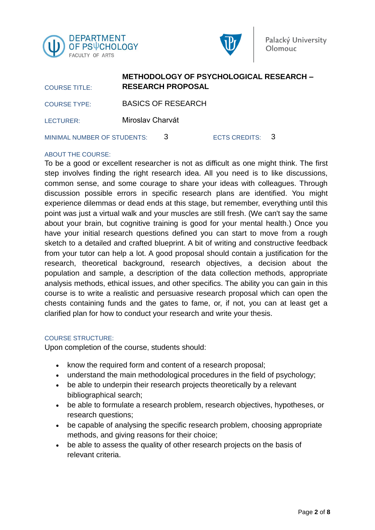



| <b>COURSE TITLE:</b>        |                  | <b>RESEARCH PROPOSAL</b>  | METHODOLOGY OF PSYCHOLOGICAL RESEARCH - |  |
|-----------------------------|------------------|---------------------------|-----------------------------------------|--|
| <b>COURSE TYPE:</b>         |                  | <b>BASICS OF RESEARCH</b> |                                         |  |
| LECTURER:                   | Miroslav Charvát |                           |                                         |  |
| MINIMAL NUMBER OF STUDENTS: |                  | 3                         | ECTS CREDITS: 3                         |  |

**METHODOLOGY OF PSYCHOLOGICAL RESEARCH –**

#### ABOUT THE COURSE:

To be a good or excellent researcher is not as difficult as one might think. The first step involves finding the right research idea. All you need is to like discussions, common sense, and some courage to share your ideas with colleagues. Through discussion possible errors in specific research plans are identified. You might experience dilemmas or dead ends at this stage, but remember, everything until this point was just a virtual walk and your muscles are still fresh. (We can't say the same about your brain, but cognitive training is good for your mental health.) Once you have your initial research questions defined you can start to move from a rough sketch to a detailed and crafted blueprint. A bit of writing and constructive feedback from your tutor can help a lot. A good proposal should contain a justification for the research, theoretical background, research objectives, a decision about the population and sample, a description of the data collection methods, appropriate analysis methods, ethical issues, and other specifics. The ability you can gain in this course is to write a realistic and persuasive research proposal which can open the chests containing funds and the gates to fame, or, if not, you can at least get a clarified plan for how to conduct your research and write your thesis.

#### COURSE STRUCTURE:

Upon completion of the course, students should:

- know the required form and content of a research proposal;
- understand the main methodological procedures in the field of psychology;
- be able to underpin their research projects theoretically by a relevant bibliographical search;
- be able to formulate a research problem, research objectives, hypotheses, or research questions;
- be capable of analysing the specific research problem, choosing appropriate methods, and giving reasons for their choice;
- be able to assess the quality of other research projects on the basis of relevant criteria.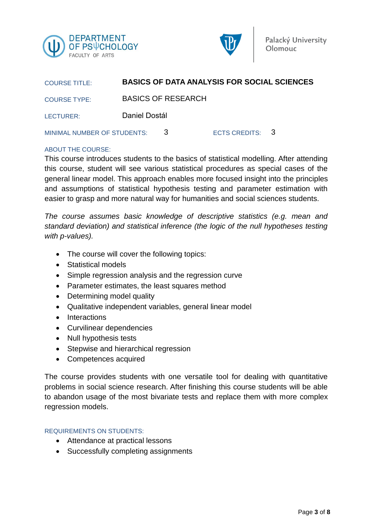



| <b>COURSE TITLE:</b>        |               |                           | <b>BASICS OF DATA ANALYSIS FOR SOCIAL SCIENCES</b> |  |
|-----------------------------|---------------|---------------------------|----------------------------------------------------|--|
| <b>COURSE TYPE:</b>         |               | <b>BASICS OF RESEARCH</b> |                                                    |  |
| LECTURER:                   | Daniel Dostál |                           |                                                    |  |
| MINIMAL NUMBER OF STUDENTS: |               | 3                         | ECTS CREDITS: 3                                    |  |

#### ABOUT THE COURSE:

This course introduces students to the basics of statistical modelling. After attending this course, student will see various statistical procedures as special cases of the general linear model. This approach enables more focused insight into the principles and assumptions of statistical hypothesis testing and parameter estimation with easier to grasp and more natural way for humanities and social sciences students.

*The course assumes basic knowledge of descriptive statistics (e.g. mean and standard deviation) and statistical inference (the logic of the null hypotheses testing with p-values).* 

- The course will cover the following topics:
- Statistical models
- Simple regression analysis and the regression curve
- Parameter estimates, the least squares method
- Determining model quality
- Qualitative independent variables, general linear model
- Interactions
- Curvilinear dependencies
- Null hypothesis tests
- Stepwise and hierarchical regression
- Competences acquired

The course provides students with one versatile tool for dealing with quantitative problems in social science research. After finishing this course students will be able to abandon usage of the most bivariate tests and replace them with more complex regression models.

#### REQUIREMENTS ON STUDENTS:

- Attendance at practical lessons
- Successfully completing assignments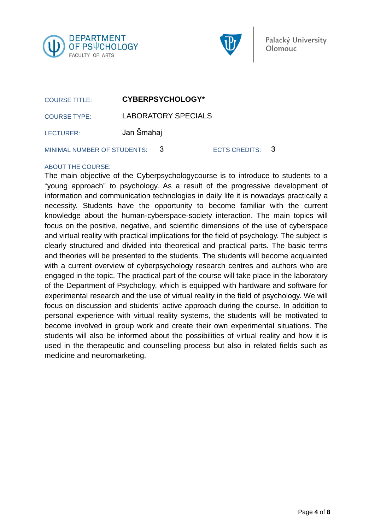



| <b>COURSE TITLE:</b>          |                            | <b>CYBERPSYCHOLOGY*</b> |                 |  |
|-------------------------------|----------------------------|-------------------------|-----------------|--|
| <b>COURSE TYPE:</b>           | <b>LABORATORY SPECIALS</b> |                         |                 |  |
| LECTURER:                     | Jan Šmahaj                 |                         |                 |  |
| MINIMAL NUMBER OF STUDENTS: 3 |                            |                         | ECTS CREDITS: 3 |  |

#### ABOUT THE COURSE:

The main objective of the Cyberpsychologycourse is to introduce to students to a "young approach" to psychology. As a result of the progressive development of information and communication technologies in daily life it is nowadays practically a necessity. Students have the opportunity to become familiar with the current knowledge about the human-cyberspace-society interaction. The main topics will focus on the positive, negative, and scientific dimensions of the use of cyberspace and virtual reality with practical implications for the field of psychology. The subject is clearly structured and divided into theoretical and practical parts. The basic terms and theories will be presented to the students. The students will become acquainted with a current overview of cyberpsychology research centres and authors who are engaged in the topic. The practical part of the course will take place in the laboratory of the Department of Psychology, which is equipped with hardware and software for experimental research and the use of virtual reality in the field of psychology. We will focus on discussion and students' active approach during the course. In addition to personal experience with virtual reality systems, the students will be motivated to become involved in group work and create their own experimental situations. The students will also be informed about the possibilities of virtual reality and how it is used in the therapeutic and counselling process but also in related fields such as medicine and neuromarketing.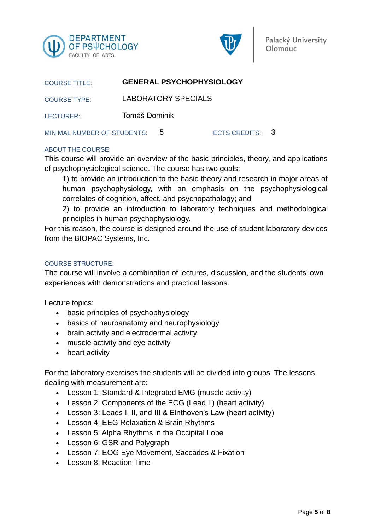



| <b>COURSE TITLE:</b>        |               | <b>GENERAL PSYCHOPHYSIOLOGY</b> |                 |  |
|-----------------------------|---------------|---------------------------------|-----------------|--|
| <b>COURSE TYPE:</b>         |               | <b>LABORATORY SPECIALS</b>      |                 |  |
| LECTURER:                   | Tomáš Dominik |                                 |                 |  |
| MINIMAL NUMBER OF STUDENTS: |               | $\mathbf b$                     | ECTS CREDITS: 3 |  |

#### ABOUT THE COURSE:

This course will provide an overview of the basic principles, theory, and applications of psychophysiological science. The course has two goals:

1) to provide an introduction to the basic theory and research in major areas of human psychophysiology, with an emphasis on the psychophysiological correlates of cognition, affect, and psychopathology; and

2) to provide an introduction to laboratory techniques and methodological principles in human psychophysiology.

For this reason, the course is designed around the use of student laboratory devices from the BIOPAC Systems, Inc.

#### COURSE STRUCTURE:

The course will involve a combination of lectures, discussion, and the students' own experiences with demonstrations and practical lessons.

Lecture topics:

- basic principles of psychophysiology
- basics of neuroanatomy and neurophysiology
- brain activity and electrodermal activity
- muscle activity and eye activity
- heart activity

For the laboratory exercises the students will be divided into groups. The lessons dealing with measurement are:

- Lesson 1: Standard & Integrated EMG (muscle activity)
- Lesson 2: Components of the ECG (Lead II) (heart activity)
- Lesson 3: Leads I, II, and III & Einthoven's Law (heart activity)
- Lesson 4: EEG Relaxation & Brain Rhythms
- Lesson 5: Alpha Rhythms in the Occipital Lobe
- Lesson 6: GSR and Polygraph
- Lesson 7: EOG Eye Movement, Saccades & Fixation
- Lesson 8: Reaction Time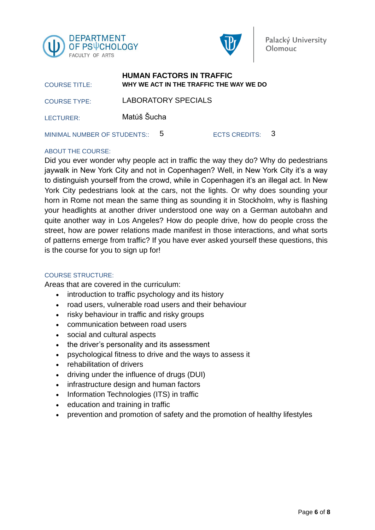



| <b>COURSE TITLE:</b>           |             |                            | <b>HUMAN FACTORS IN TRAFFIC</b><br>WHY WE ACT IN THE TRAFFIC THE WAY WE DO |  |
|--------------------------------|-------------|----------------------------|----------------------------------------------------------------------------|--|
| <b>COURSE TYPE:</b>            |             | <b>LABORATORY SPECIALS</b> |                                                                            |  |
| LECTURER:                      | Matúš Šucha |                            |                                                                            |  |
| MINIMAL NUMBER OF STUDENTS:: 5 |             |                            | ECTS CREDITS: 3                                                            |  |

#### ABOUT THE COURSE:

Did you ever wonder why people act in traffic the way they do? Why do pedestrians jaywalk in New York City and not in Copenhagen? Well, in New York City it's a way to distinguish yourself from the crowd, while in Copenhagen it's an illegal act. In New York City pedestrians look at the cars, not the lights. Or why does sounding your horn in Rome not mean the same thing as sounding it in Stockholm, why is flashing your headlights at another driver understood one way on a German autobahn and quite another way in Los Angeles? How do people drive, how do people cross the street, how are power relations made manifest in those interactions, and what sorts of patterns emerge from traffic? If you have ever asked yourself these questions, this is the course for you to sign up for!

#### COURSE STRUCTURE:

Areas that are covered in the curriculum:

- introduction to traffic psychology and its history
- road users, vulnerable road users and their behaviour
- risky behaviour in traffic and risky groups
- communication between road users
- social and cultural aspects
- the driver's personality and its assessment
- psychological fitness to drive and the ways to assess it
- rehabilitation of drivers
- driving under the influence of drugs (DUI)
- infrastructure design and human factors
- Information Technologies (ITS) in traffic
- education and training in traffic
- prevention and promotion of safety and the promotion of healthy lifestyles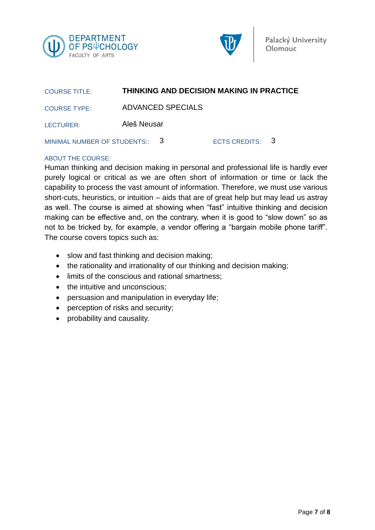



| <b>COURSE TITLE:</b>           | <b>THINKING AND DECISION MAKING IN PRACTICE</b> |                 |  |
|--------------------------------|-------------------------------------------------|-----------------|--|
| <b>COURSE TYPE:</b>            | ADVANCED SPECIALS                               |                 |  |
| LECTURER:                      | Aleš Neusar                                     |                 |  |
| MINIMAL NUMBER OF STUDENTS:: 3 |                                                 | ECTS CREDITS: 3 |  |

#### ABOUT THE COURSE:

Human thinking and decision making in personal and professional life is hardly ever purely logical or critical as we are often short of information or time or lack the capability to process the vast amount of information. Therefore, we must use various short-cuts, heuristics, or intuition – aids that are of great help but may lead us astray as well. The course is aimed at showing when "fast" intuitive thinking and decision making can be effective and, on the contrary, when it is good to "slow down" so as not to be tricked by, for example, a vendor offering a "bargain mobile phone tariff". The course covers topics such as:

- slow and fast thinking and decision making;
- the rationality and irrationality of our thinking and decision making;
- limits of the conscious and rational smartness;
- the intuitive and unconscious:
- persuasion and manipulation in everyday life;
- perception of risks and security;
- probability and causality.